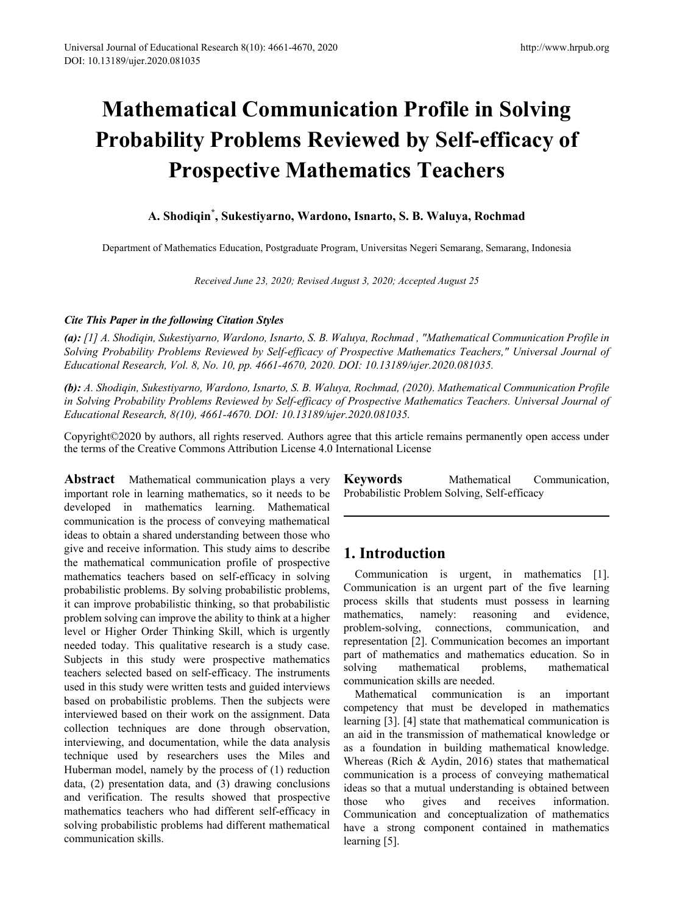# **Mathematical Communication Profile in Solving Probability Problems Reviewed by Self-efficacy of Prospective Mathematics Teachers**

## **A. Shodiqin\* , Sukestiyarno, Wardono, Isnarto, S. B. Waluya, Rochmad**

Department of Mathematics Education, Postgraduate Program, Universitas Negeri Semarang, Semarang, Indonesia

*Received June 23, 2020; Revised August 3, 2020; Accepted August 25* 

## *Cite This Paper in the following Citation Styles*

*(a): [1] A. Shodiqin, Sukestiyarno, Wardono, Isnarto, S. B. Waluya, Rochmad , "Mathematical Communication Profile in Solving Probability Problems Reviewed by Self-efficacy of Prospective Mathematics Teachers," Universal Journal of Educational Research, Vol. 8, No. 10, pp. 4661-4670, 2020. DOI: 10.13189/ujer.2020.081035.* 

*(b): A. Shodiqin, Sukestiyarno, Wardono, Isnarto, S. B. Waluya, Rochmad, (2020). Mathematical Communication Profile in Solving Probability Problems Reviewed by Self-efficacy of Prospective Mathematics Teachers. Universal Journal of Educational Research, 8(10), 4661-4670. DOI: 10.13189/ujer.2020.081035.* 

Copyright©2020 by authors, all rights reserved. Authors agree that this article remains permanently open access under the terms of the Creative Commons Attribution License 4.0 International License

**Abstract** Mathematical communication plays a very important role in learning mathematics, so it needs to be developed in mathematics learning. Mathematical communication is the process of conveying mathematical ideas to obtain a shared understanding between those who give and receive information. This study aims to describe the mathematical communication profile of prospective mathematics teachers based on self-efficacy in solving probabilistic problems. By solving probabilistic problems, it can improve probabilistic thinking, so that probabilistic problem solving can improve the ability to think at a higher level or Higher Order Thinking Skill, which is urgently needed today. This qualitative research is a study case. Subjects in this study were prospective mathematics teachers selected based on self-efficacy. The instruments used in this study were written tests and guided interviews based on probabilistic problems. Then the subjects were interviewed based on their work on the assignment. Data collection techniques are done through observation, interviewing, and documentation, while the data analysis technique used by researchers uses the Miles and Huberman model, namely by the process of (1) reduction data, (2) presentation data, and (3) drawing conclusions and verification. The results showed that prospective mathematics teachers who had different self-efficacy in solving probabilistic problems had different mathematical communication skills.

**Keywords** Mathematical Communication, Probabilistic Problem Solving, Self-efficacy

# **1. Introduction**

Communication is urgent, in mathematics [1]. Communication is an urgent part of the five learning process skills that students must possess in learning mathematics, namely: reasoning and evidence, problem-solving, connections, communication, and representation [2]. Communication becomes an important part of mathematics and mathematics education. So in solving mathematical problems, mathematical communication skills are needed.

Mathematical communication is an important competency that must be developed in mathematics learning [3]. [4] state that mathematical communication is an aid in the transmission of mathematical knowledge or as a foundation in building mathematical knowledge. Whereas (Rich & Aydin, 2016) states that mathematical communication is a process of conveying mathematical ideas so that a mutual understanding is obtained between those who gives and receives information. Communication and conceptualization of mathematics have a strong component contained in mathematics learning [5].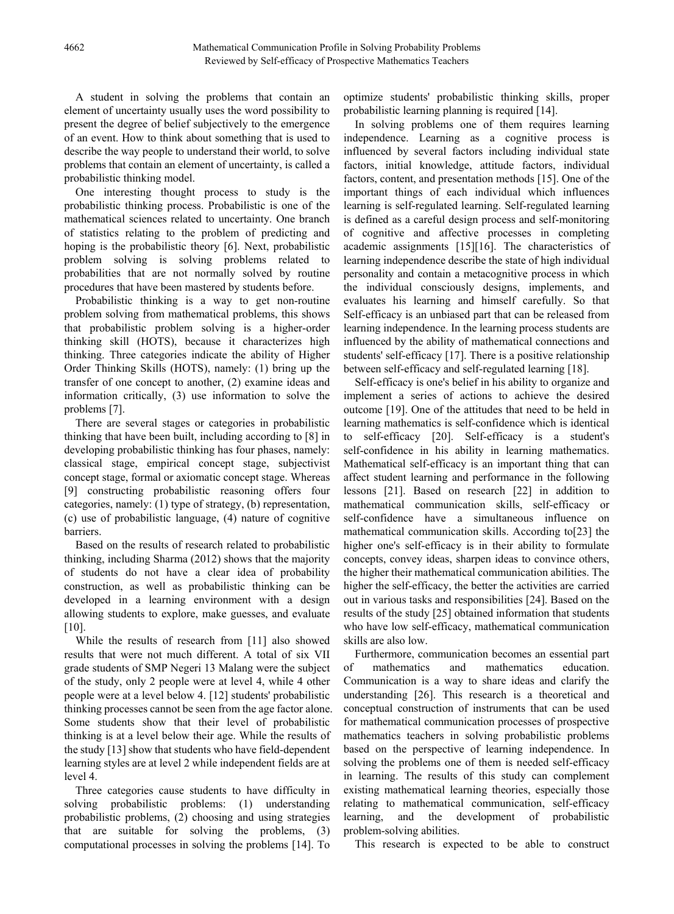A student in solving the problems that contain an element of uncertainty usually uses the word possibility to present the degree of belief subjectively to the emergence of an event. How to think about something that is used to describe the way people to understand their world, to solve problems that contain an element of uncertainty, is called a probabilistic thinking model.

One interesting thought process to study is the probabilistic thinking process. Probabilistic is one of the mathematical sciences related to uncertainty. One branch of statistics relating to the problem of predicting and hoping is the probabilistic theory [6]. Next, probabilistic problem solving is solving problems related to probabilities that are not normally solved by routine procedures that have been mastered by students before.

Probabilistic thinking is a way to get non-routine problem solving from mathematical problems, this shows that probabilistic problem solving is a higher-order thinking skill (HOTS), because it characterizes high thinking. Three categories indicate the ability of Higher Order Thinking Skills (HOTS), namely: (1) bring up the transfer of one concept to another, (2) examine ideas and information critically, (3) use information to solve the problems [7].

There are several stages or categories in probabilistic thinking that have been built, including according to [8] in developing probabilistic thinking has four phases, namely: classical stage, empirical concept stage, subjectivist concept stage, formal or axiomatic concept stage. Whereas [9] constructing probabilistic reasoning offers four categories, namely: (1) type of strategy, (b) representation, (c) use of probabilistic language, (4) nature of cognitive barriers.

Based on the results of research related to probabilistic thinking, including Sharma (2012) shows that the majority of students do not have a clear idea of probability construction, as well as probabilistic thinking can be developed in a learning environment with a design allowing students to explore, make guesses, and evaluate [10].

While the results of research from [11] also showed results that were not much different. A total of six VII grade students of SMP Negeri 13 Malang were the subject of the study, only 2 people were at level 4, while 4 other people were at a level below 4. [12] students' probabilistic thinking processes cannot be seen from the age factor alone. Some students show that their level of probabilistic thinking is at a level below their age. While the results of the study [13] show that students who have field-dependent learning styles are at level 2 while independent fields are at level 4.

Three categories cause students to have difficulty in solving probabilistic problems: (1) understanding probabilistic problems, (2) choosing and using strategies that are suitable for solving the problems, (3) computational processes in solving the problems [14]. To optimize students' probabilistic thinking skills, proper probabilistic learning planning is required [14].

In solving problems one of them requires learning independence. Learning as a cognitive process is influenced by several factors including individual state factors, initial knowledge, attitude factors, individual factors, content, and presentation methods [15]. One of the important things of each individual which influences learning is self-regulated learning. Self-regulated learning is defined as a careful design process and self-monitoring of cognitive and affective processes in completing academic assignments [15][16]. The characteristics of learning independence describe the state of high individual personality and contain a metacognitive process in which the individual consciously designs, implements, and evaluates his learning and himself carefully. So that Self-efficacy is an unbiased part that can be released from learning independence. In the learning process students are influenced by the ability of mathematical connections and students' self-efficacy [17]. There is a positive relationship between self-efficacy and self-regulated learning [18].

Self-efficacy is one's belief in his ability to organize and implement a series of actions to achieve the desired outcome [19]. One of the attitudes that need to be held in learning mathematics is self-confidence which is identical to self-efficacy [20]. Self-efficacy is a student's self-confidence in his ability in learning mathematics. Mathematical self-efficacy is an important thing that can affect student learning and performance in the following lessons [21]. Based on research [22] in addition to mathematical communication skills, self-efficacy or self-confidence have a simultaneous influence on mathematical communication skills. According to[23] the higher one's self-efficacy is in their ability to formulate concepts, convey ideas, sharpen ideas to convince others, the higher their mathematical communication abilities. The higher the self-efficacy, the better the activities are carried out in various tasks and responsibilities [24]. Based on the results of the study [25] obtained information that students who have low self-efficacy, mathematical communication skills are also low.

Furthermore, communication becomes an essential part of mathematics and mathematics education. Communication is a way to share ideas and clarify the understanding [26]. This research is a theoretical and conceptual construction of instruments that can be used for mathematical communication processes of prospective mathematics teachers in solving probabilistic problems based on the perspective of learning independence. In solving the problems one of them is needed self-efficacy in learning. The results of this study can complement existing mathematical learning theories, especially those relating to mathematical communication, self-efficacy learning, and the development of probabilistic problem-solving abilities.

This research is expected to be able to construct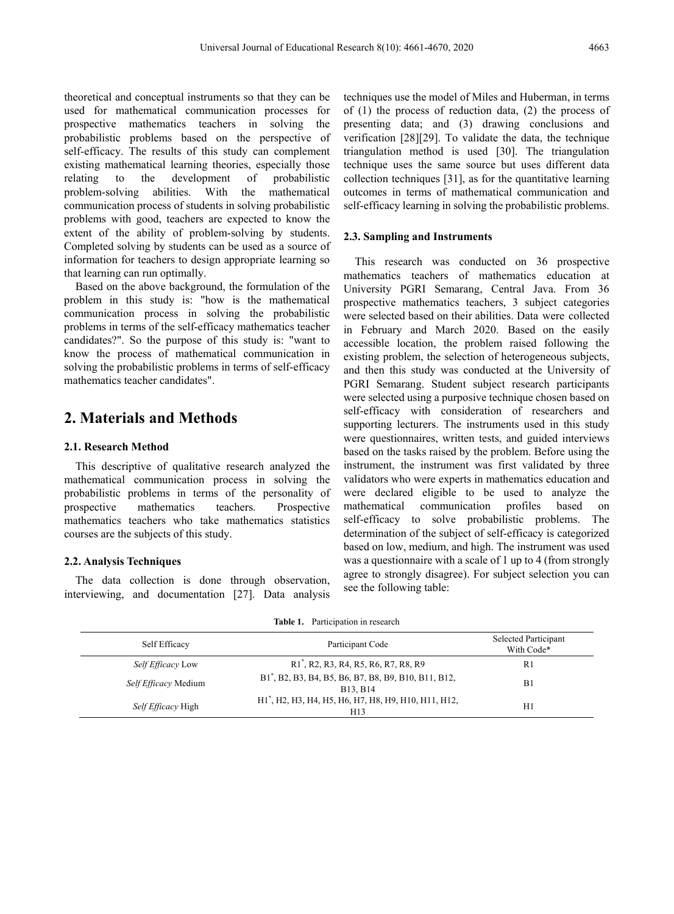theoretical and conceptual instruments so that they can be used for mathematical communication processes for prospective mathematics teachers in solving the probabilistic problems based on the perspective of self-efficacy. The results of this study can complement existing mathematical learning theories, especially those relating to the development of probabilistic<br>problem-solving abilities. With the mathematical With the mathematical communication process of students in solving probabilistic problems with good, teachers are expected to know the extent of the ability of problem-solving by students. Completed solving by students can be used as a source of information for teachers to design appropriate learning so that learning can run optimally.

Based on the above background, the formulation of the problem in this study is: "how is the mathematical communication process in solving the probabilistic problems in terms of the self-efficacy mathematics teacher candidates?". So the purpose of this study is: "want to know the process of mathematical communication in solving the probabilistic problems in terms of self-efficacy mathematics teacher candidates".

## **2. Materials and Methods**

### **2.1. Research Method**

This descriptive of qualitative research analyzed the mathematical communication process in solving the probabilistic problems in terms of the personality of prospective mathematics teachers. Prospective mathematics teachers who take mathematics statistics courses are the subjects of this study.

## **2.2. Analysis Techniques**

The data collection is done through observation, interviewing, and documentation [27]. Data analysis techniques use the model of Miles and Huberman, in terms of (1) the process of reduction data, (2) the process of presenting data; and (3) drawing conclusions and verification [28][29]. To validate the data, the technique triangulation method is used [30]. The triangulation technique uses the same source but uses different data collection techniques [31], as for the quantitative learning outcomes in terms of mathematical communication and self-efficacy learning in solving the probabilistic problems.

### **2.3. Sampling and Instruments**

This research was conducted on 36 prospective mathematics teachers of mathematics education at University PGRI Semarang, Central Java. From 36 prospective mathematics teachers, 3 subject categories were selected based on their abilities. Data were collected in February and March 2020. Based on the easily accessible location, the problem raised following the existing problem, the selection of heterogeneous subjects, and then this study was conducted at the University of PGRI Semarang. Student subject research participants were selected using a purposive technique chosen based on self-efficacy with consideration of researchers and supporting lecturers. The instruments used in this study were questionnaires, written tests, and guided interviews based on the tasks raised by the problem. Before using the instrument, the instrument was first validated by three validators who were experts in mathematics education and were declared eligible to be used to analyze the mathematical communication profiles based on self-efficacy to solve probabilistic problems. The determination of the subject of self-efficacy is categorized based on low, medium, and high. The instrument was used was a questionnaire with a scale of 1 up to 4 (from strongly agree to strongly disagree). For subject selection you can see the following table:

| Self Efficacy             | Participant Code                                                        | Selected Participant<br>With Code* |  |
|---------------------------|-------------------------------------------------------------------------|------------------------------------|--|
| Self Efficacy Low         | R1, R2, R3, R4, R5, R6, R7, R8, R9                                      | R1                                 |  |
| Self Efficacy Medium      | B1, B2, B3, B4, B5, B6, B7, B8, B9, B10, B11, B12,<br>B13, B14          | Βl                                 |  |
| <i>Self Efficacy</i> High | H1 <sup>*</sup> , H2, H3, H4, H5, H6, H7, H8, H9, H10, H11, H12,<br>H13 | H1                                 |  |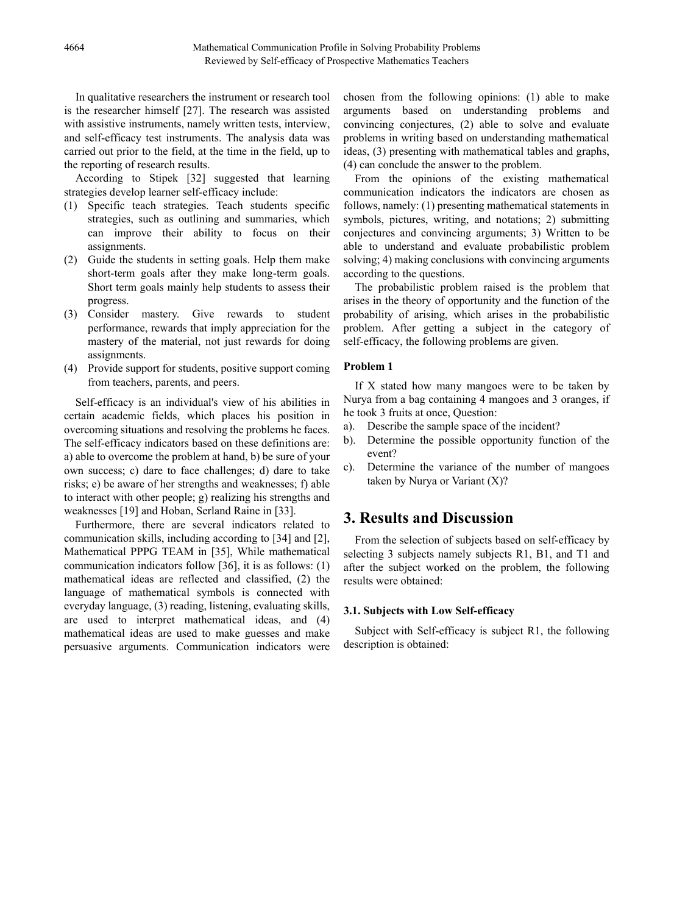In qualitative researchers the instrument or research tool is the researcher himself [27]. The research was assisted with assistive instruments, namely written tests, interview, and self-efficacy test instruments. The analysis data was carried out prior to the field, at the time in the field, up to the reporting of research results.

According to Stipek [32] suggested that learning strategies develop learner self-efficacy include:

- (1) Specific teach strategies. Teach students specific strategies, such as outlining and summaries, which can improve their ability to focus on their assignments.
- (2) Guide the students in setting goals. Help them make short-term goals after they make long-term goals. Short term goals mainly help students to assess their progress.
- (3) Consider mastery. Give rewards to student performance, rewards that imply appreciation for the mastery of the material, not just rewards for doing assignments.
- (4) Provide support for students, positive support coming from teachers, parents, and peers.

Self-efficacy is an individual's view of his abilities in certain academic fields, which places his position in overcoming situations and resolving the problems he faces. The self-efficacy indicators based on these definitions are: a) able to overcome the problem at hand, b) be sure of your own success; c) dare to face challenges; d) dare to take risks; e) be aware of her strengths and weaknesses; f) able to interact with other people; g) realizing his strengths and weaknesses [19] and Hoban, Serland Raine in [33].

Furthermore, there are several indicators related to communication skills, including according to [34] and [2], Mathematical PPPG TEAM in [35], While mathematical communication indicators follow [36], it is as follows: (1) mathematical ideas are reflected and classified, (2) the language of mathematical symbols is connected with everyday language, (3) reading, listening, evaluating skills, are used to interpret mathematical ideas, and (4) mathematical ideas are used to make guesses and make persuasive arguments. Communication indicators were

chosen from the following opinions: (1) able to make arguments based on understanding problems and convincing conjectures, (2) able to solve and evaluate problems in writing based on understanding mathematical ideas, (3) presenting with mathematical tables and graphs, (4) can conclude the answer to the problem.

From the opinions of the existing mathematical communication indicators the indicators are chosen as follows, namely: (1) presenting mathematical statements in symbols, pictures, writing, and notations; 2) submitting conjectures and convincing arguments; 3) Written to be able to understand and evaluate probabilistic problem solving; 4) making conclusions with convincing arguments according to the questions.

The probabilistic problem raised is the problem that arises in the theory of opportunity and the function of the probability of arising, which arises in the probabilistic problem. After getting a subject in the category of self-efficacy, the following problems are given.

## **Problem 1**

If X stated how many mangoes were to be taken by Nurya from a bag containing 4 mangoes and 3 oranges, if he took 3 fruits at once, Question:

- a). Describe the sample space of the incident?
- b). Determine the possible opportunity function of the event?
- c). Determine the variance of the number of mangoes taken by Nurya or Variant (X)?

## **3. Results and Discussion**

From the selection of subjects based on self-efficacy by selecting 3 subjects namely subjects R1, B1, and T1 and after the subject worked on the problem, the following results were obtained:

#### **3.1. Subjects with Low Self-efficacy**

Subject with Self-efficacy is subject R1, the following description is obtained: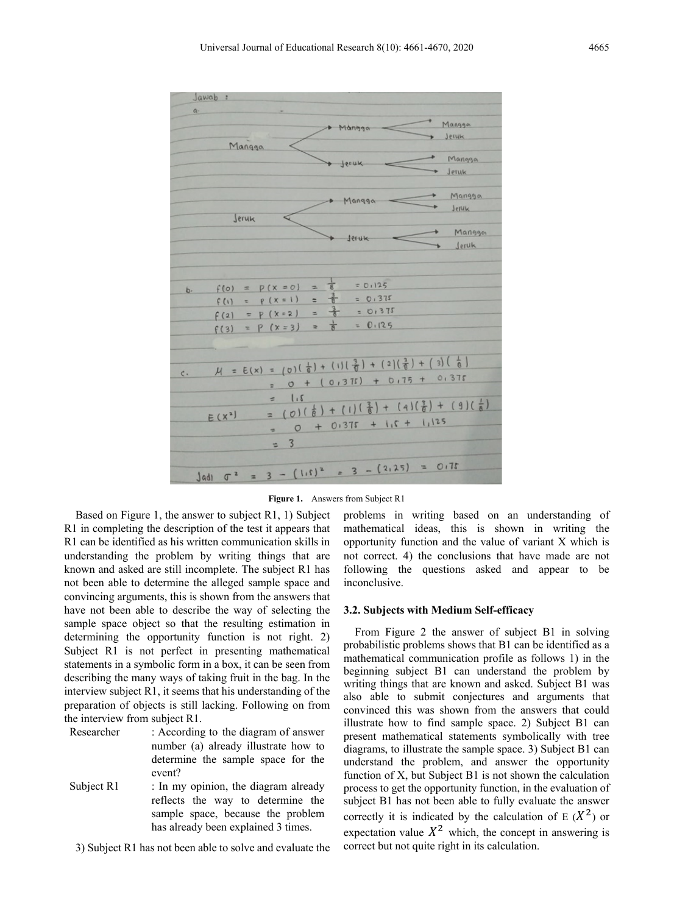



Based on Figure 1, the answer to subject R1, 1) Subject R1 in completing the description of the test it appears that R1 can be identified as his written communication skills in understanding the problem by writing things that are known and asked are still incomplete. The subject R1 has not been able to determine the alleged sample space and convincing arguments, this is shown from the answers that have not been able to describe the way of selecting the sample space object so that the resulting estimation in determining the opportunity function is not right. 2) Subject R1 is not perfect in presenting mathematical statements in a symbolic form in a box, it can be seen from describing the many ways of taking fruit in the bag. In the interview subject R1, it seems that his understanding of the preparation of objects is still lacking. Following on from the interview from subject R1.

Researcher : According to the diagram of answer number (a) already illustrate how to determine the sample space for the event?

Subject R1 : In my opinion, the diagram already reflects the way to determine the sample space, because the problem has already been explained 3 times.

3) Subject R1 has not been able to solve and evaluate the

problems in writing based on an understanding of mathematical ideas, this is shown in writing the opportunity function and the value of variant X which is not correct. 4) the conclusions that have made are not following the questions asked and appear to be inconclusive.

### **3.2. Subjects with Medium Self-efficacy**

From Figure 2 the answer of subject B1 in solving probabilistic problems shows that B1 can be identified as a mathematical communication profile as follows 1) in the beginning subject B1 can understand the problem by writing things that are known and asked. Subject B1 was also able to submit conjectures and arguments that convinced this was shown from the answers that could illustrate how to find sample space. 2) Subject B1 can present mathematical statements symbolically with tree diagrams, to illustrate the sample space. 3) Subject B1 can understand the problem, and answer the opportunity function of X, but Subject B1 is not shown the calculation process to get the opportunity function, in the evaluation of subject B1 has not been able to fully evaluate the answer correctly it is indicated by the calculation of E  $(X^2)$  or expectation value  $X^2$  which, the concept in answering is correct but not quite right in its calculation.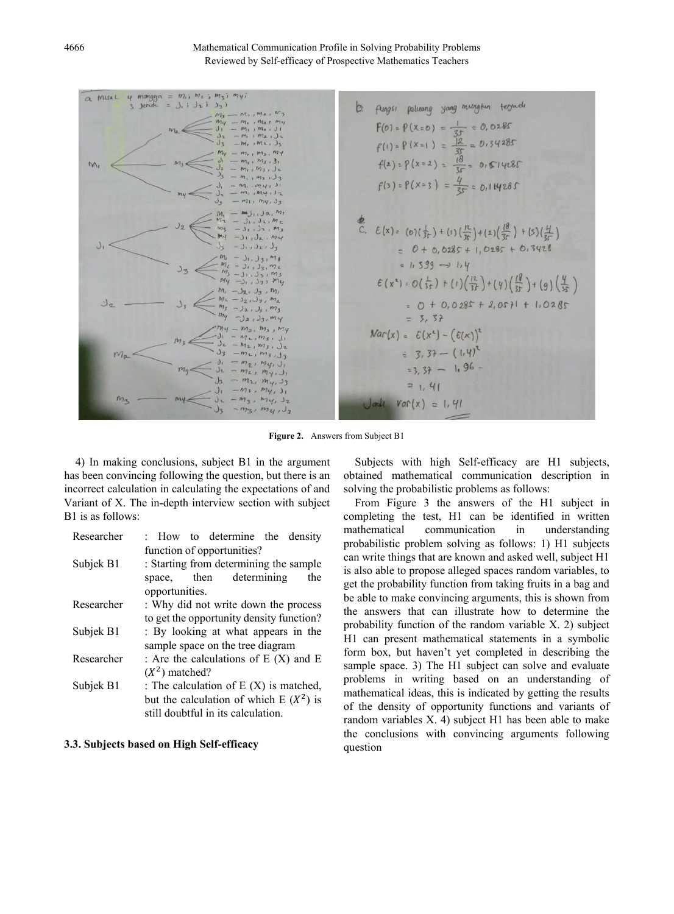4666 Mathematical Communication Profile in Solving Probability Problems Reviewed by Self-efficacy of Prospective Mathematics Teachers

 $my;$  $m_i$ ;  $m_i$ ;  $m_{\tau}$ ; **Misa**  $\overline{a}$  $\overline{a}$  $1.3 J<sub>2</sub>3$  $J_{\tau}$ Aingsi peluang yang mungtun terjadi  $\mathcal{D}$  $F(0) = P(x=0) = \frac{1}{3!} = 0, 0.285$ <br> $f(1) = P(x=1) = \frac{|2|}{3!} = 0.34285$  $f(z) = P(x = 2) = \frac{18}{35} = 0.514285$  $f(3) = P(X=3) = \frac{4}{35} = 0.114285$ **d**:<br>
C.  $E(x) = (6)(\frac{1}{3r}) + (1)(\frac{12}{3r}) + (2)(\frac{18}{3r}) + (5)(\frac{H}{3r})$  $= 0 + 0.0285 + 1.0285 + 0.3428$  $= 1, 599 \rightarrow 1.4$  $E(x^4) : O(\frac{1}{35}) + (1)(\frac{12}{35}) + (4)(\frac{18}{35}) + (9)(\frac{4}{35})$ =  $0 + 0.0285 + 2.0571 + 1.0285$  $= 5.57$  $Var(x) = E(x^*) - (E(x))^2$  $= 3.37 - (1.4)^{7}$  $= 3, 37 - 1, 96$  $21,41$  $Var(x) = 1, 41$  $-m_3, m_4$ 

**Figure 2.** Answers from Subject B1

4) In making conclusions, subject B1 in the argument has been convincing following the question, but there is an incorrect calculation in calculating the expectations of and Variant of X. The in-depth interview section with subject B1 is as follows:

| Researcher | : How to determine the density           |  |  |  |  |
|------------|------------------------------------------|--|--|--|--|
|            | function of opportunities?               |  |  |  |  |
| Subjek B1  | : Starting from determining the sample   |  |  |  |  |
|            | space, then determining<br>the           |  |  |  |  |
|            | opportunities.                           |  |  |  |  |
| Researcher | : Why did not write down the process     |  |  |  |  |
|            | to get the opportunity density function? |  |  |  |  |
| Subjek B1  | : By looking at what appears in the      |  |  |  |  |
|            | sample space on the tree diagram         |  |  |  |  |
| Researcher | : Are the calculations of $E(X)$ and $E$ |  |  |  |  |
|            | $(X^2)$ matched?                         |  |  |  |  |
| Subjek B1  | : The calculation of $E(X)$ is matched,  |  |  |  |  |
|            | but the calculation of which $E(X^2)$ is |  |  |  |  |
|            | still doubtful in its calculation.       |  |  |  |  |

### **3.3. Subjects based on High Self-efficacy**

Subjects with high Self-efficacy are H1 subjects, obtained mathematical communication description in solving the probabilistic problems as follows:

From Figure 3 the answers of the H1 subject in completing the test, H1 can be identified in written mathematical communication in understanding probabilistic problem solving as follows: 1) H1 subjects can write things that are known and asked well, subject H1 is also able to propose alleged spaces random variables, to get the probability function from taking fruits in a bag and be able to make convincing arguments, this is shown from the answers that can illustrate how to determine the probability function of the random variable X. 2) subject H1 can present mathematical statements in a symbolic form box, but haven't yet completed in describing the sample space. 3) The H1 subject can solve and evaluate problems in writing based on an understanding of mathematical ideas, this is indicated by getting the results of the density of opportunity functions and variants of random variables X. 4) subject H1 has been able to make the conclusions with convincing arguments following question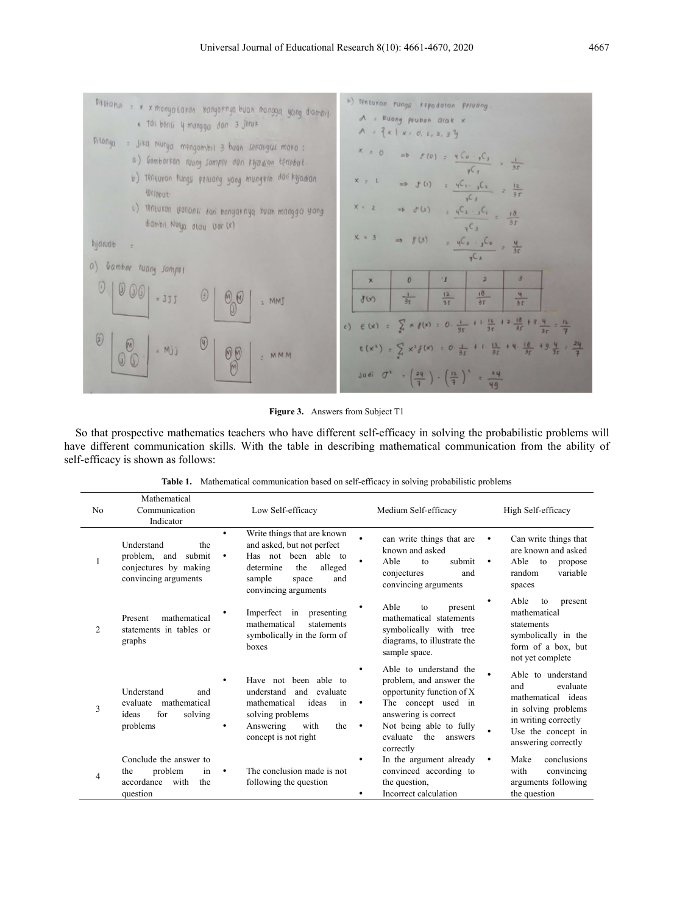

**Figure 3.** Answers from Subject T1

So that prospective mathematics teachers who have different self-efficacy in solving the probabilistic problems will have different communication skills. With the table in describing mathematical communication from the ability of self-efficacy is shown as follows:

| N <sub>0</sub> | Mathematical<br>Communication<br>Indicator                                                   | Low Self-efficacy                                                                                                                                                                    | Medium Self-efficacy                                                                                                                                                                                                  | High Self-efficacy                                                                                                                                      |  |  |
|----------------|----------------------------------------------------------------------------------------------|--------------------------------------------------------------------------------------------------------------------------------------------------------------------------------------|-----------------------------------------------------------------------------------------------------------------------------------------------------------------------------------------------------------------------|---------------------------------------------------------------------------------------------------------------------------------------------------------|--|--|
| 1              | Understand<br>the<br>submit<br>problem, and<br>conjectures by making<br>convincing arguments | Write things that are known<br>$\bullet$<br>and asked, but not perfect<br>Has not been able to<br>٠<br>the<br>alleged<br>determine<br>sample<br>and<br>space<br>convincing arguments | can write things that are<br>known and asked<br>Able<br>submit<br>to<br>conjectures<br>and<br>convincing arguments                                                                                                    | Can write things that<br>are known and asked<br>Able<br>to<br>propose<br>$\bullet$<br>variable<br>random<br>spaces                                      |  |  |
| 2              | mathematical<br>Present<br>statements in tables or<br>graphs                                 | Imperfect in<br>presenting<br>mathematical<br>statements<br>symbolically in the form of<br>boxes                                                                                     | Able<br>to<br>present<br>mathematical statements<br>symbolically with tree<br>diagrams, to illustrate the<br>sample space.                                                                                            | Able<br>to<br>present<br>mathematical<br>statements<br>symbolically in the<br>form of a box, but<br>not yet complete                                    |  |  |
| 3              | Understand<br>and<br>mathematical<br>evaluate<br>for<br>solving<br>ideas<br>problems         | Have not been able to<br>$\bullet$<br>understand<br>and evaluate<br>ideas<br>mathematical<br>in<br>solving problems<br>Answering<br>with<br>the<br>٠<br>concept is not right         | Able to understand the<br>problem, and answer the<br>opportunity function of X<br>The concept used in<br>٠<br>answering is correct<br>Not being able to fully<br>$\bullet$<br>the<br>evaluate<br>answers<br>correctly | Able to understand<br>evaluate<br>and<br>mathematical ideas<br>in solving problems<br>in writing correctly<br>Use the concept in<br>answering correctly |  |  |
| 4              | Conclude the answer to<br>problem<br>the<br>1n<br>accordance<br>with<br>the<br>question      | The conclusion made is not<br>٠<br>following the question                                                                                                                            | In the argument already<br>convinced according to<br>the question,<br>Incorrect calculation                                                                                                                           | Make<br>conclusions<br>$\bullet$<br>with<br>convincing<br>arguments following<br>the question                                                           |  |  |

|  |  |  | <b>Table 1.</b> Mathematical communication based on self-efficacy in solving probabilistic problems |  |  |  |  |  |  |
|--|--|--|-----------------------------------------------------------------------------------------------------|--|--|--|--|--|--|
|--|--|--|-----------------------------------------------------------------------------------------------------|--|--|--|--|--|--|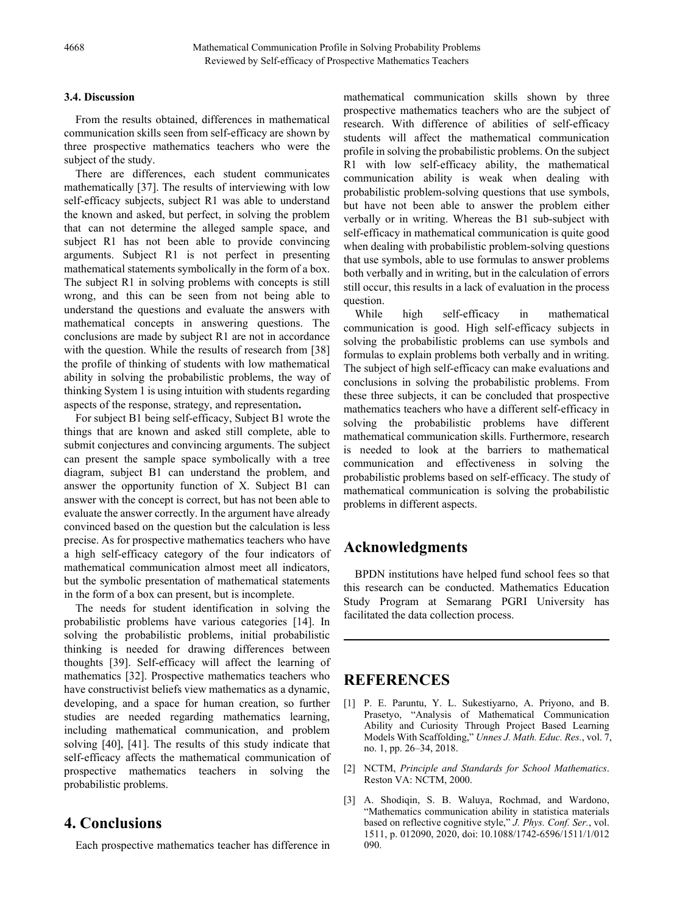## **3.4. Discussion**

From the results obtained, differences in mathematical communication skills seen from self-efficacy are shown by three prospective mathematics teachers who were the subject of the study.

There are differences, each student communicates mathematically [37]. The results of interviewing with low self-efficacy subjects, subject R1 was able to understand the known and asked, but perfect, in solving the problem that can not determine the alleged sample space, and subject R1 has not been able to provide convincing arguments. Subject R1 is not perfect in presenting mathematical statements symbolically in the form of a box. The subject R1 in solving problems with concepts is still wrong, and this can be seen from not being able to understand the questions and evaluate the answers with mathematical concepts in answering questions. The conclusions are made by subject R1 are not in accordance with the question. While the results of research from [38] the profile of thinking of students with low mathematical ability in solving the probabilistic problems, the way of thinking System 1 is using intuition with students regarding aspects of the response, strategy, and representation**.**

For subject B1 being self-efficacy, Subject B1 wrote the things that are known and asked still complete, able to submit conjectures and convincing arguments. The subject can present the sample space symbolically with a tree diagram, subject B1 can understand the problem, and answer the opportunity function of X. Subject B1 can answer with the concept is correct, but has not been able to evaluate the answer correctly. In the argument have already convinced based on the question but the calculation is less precise. As for prospective mathematics teachers who have a high self-efficacy category of the four indicators of mathematical communication almost meet all indicators, but the symbolic presentation of mathematical statements in the form of a box can present, but is incomplete.

The needs for student identification in solving the probabilistic problems have various categories [14]. In solving the probabilistic problems, initial probabilistic thinking is needed for drawing differences between thoughts [39]. Self-efficacy will affect the learning of mathematics [32]. Prospective mathematics teachers who have constructivist beliefs view mathematics as a dynamic, developing, and a space for human creation, so further studies are needed regarding mathematics learning, including mathematical communication, and problem solving [40], [41]. The results of this study indicate that self-efficacy affects the mathematical communication of prospective mathematics teachers in solving the probabilistic problems.

## **4. Conclusions**

Each prospective mathematics teacher has difference in

mathematical communication skills shown by three prospective mathematics teachers who are the subject of research. With difference of abilities of self-efficacy students will affect the mathematical communication profile in solving the probabilistic problems. On the subject R1 with low self-efficacy ability, the mathematical communication ability is weak when dealing with probabilistic problem-solving questions that use symbols, but have not been able to answer the problem either verbally or in writing. Whereas the B1 sub-subject with self-efficacy in mathematical communication is quite good when dealing with probabilistic problem-solving questions that use symbols, able to use formulas to answer problems both verbally and in writing, but in the calculation of errors still occur, this results in a lack of evaluation in the process question.

While high self-efficacy in mathematical communication is good. High self-efficacy subjects in solving the probabilistic problems can use symbols and formulas to explain problems both verbally and in writing. The subject of high self-efficacy can make evaluations and conclusions in solving the probabilistic problems. From these three subjects, it can be concluded that prospective mathematics teachers who have a different self-efficacy in solving the probabilistic problems have different mathematical communication skills. Furthermore, research is needed to look at the barriers to mathematical communication and effectiveness in solving the probabilistic problems based on self-efficacy. The study of mathematical communication is solving the probabilistic problems in different aspects.

# **Acknowledgments**

BPDN institutions have helped fund school fees so that this research can be conducted. Mathematics Education Study Program at Semarang PGRI University has facilitated the data collection process.

# **REFERENCES**

- [1] P. E. Paruntu, Y. L. Sukestiyarno, A. Priyono, and B. Prasetyo, "Analysis of Mathematical Communication Ability and Curiosity Through Project Based Learning Models With Scaffolding," *Unnes J. Math. Educ. Res.*, vol. 7, no. 1, pp. 26–34, 2018.
- [2] NCTM, *Principle and Standards for School Mathematics*. Reston VA: NCTM, 2000.
- [3] A. Shodiqin, S. B. Waluya, Rochmad, and Wardono, "Mathematics communication ability in statistica materials based on reflective cognitive style," *J. Phys. Conf. Ser.*, vol. 1511, p. 012090, 2020, doi: 10.1088/1742-6596/1511/1/012 090.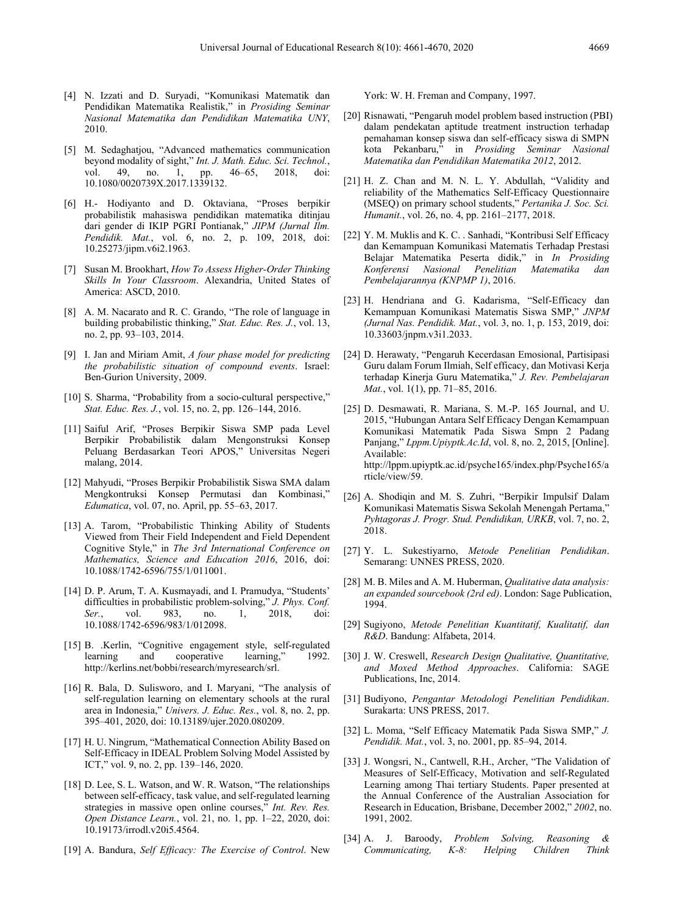- [4] N. Izzati and D. Suryadi, "Komunikasi Matematik dan Pendidikan Matematika Realistik," in *Prosiding Seminar Nasional Matematika dan Pendidikan Matematika UNY*, 2010.
- [5] M. Sedaghatjou, "Advanced mathematics communication beyond modality of sight," *Int. J. Math. Educ. Sci. Technol.*, vol. 49, no. 1, pp. 46–65, 2018, doi: 10.1080/0020739X.2017.1339132.
- [6] H.- Hodiyanto and D. Oktaviana, "Proses berpikir probabilistik mahasiswa pendidikan matematika ditinjau dari gender di IKIP PGRI Pontianak," *JIPM (Jurnal Ilm. Pendidik. Mat.*, vol. 6, no. 2, p. 109, 2018, doi: 10.25273/jipm.v6i2.1963.
- [7] Susan M. Brookhart, *How To Assess Higher-Order Thinking Skills In Your Classroom*. Alexandria, United States of America: ASCD, 2010.
- [8] A. M. Nacarato and R. C. Grando, "The role of language in building probabilistic thinking," *Stat. Educ. Res. J.*, vol. 13, no. 2, pp. 93–103, 2014.
- [9] I. Jan and Miriam Amit, *A four phase model for predicting the probabilistic situation of compound events*. Israel: Ben-Gurion University, 2009.
- [10] S. Sharma, "Probability from a socio-cultural perspective," *Stat. Educ. Res. J.*, vol. 15, no. 2, pp. 126–144, 2016.
- [11] Saiful Arif, "Proses Berpikir Siswa SMP pada Level Berpikir Probabilistik dalam Mengonstruksi Konsep Peluang Berdasarkan Teori APOS," Universitas Negeri malang, 2014.
- [12] Mahyudi, "Proses Berpikir Probabilistik Siswa SMA dalam Mengkontruksi Konsep Permutasi dan Kombinasi," *Edumatica*, vol. 07, no. April, pp. 55–63, 2017.
- [13] A. Tarom, "Probabilistic Thinking Ability of Students Viewed from Their Field Independent and Field Dependent Cognitive Style," in *The 3rd International Conference on Mathematics, Science and Education 2016*, 2016, doi: 10.1088/1742-6596/755/1/011001.
- [14] D. P. Arum, T. A. Kusmayadi, and I. Pramudya, "Students' difficulties in probabilistic problem-solving," *J. Phys. Conf. Ser.*, vol. 983, no. 1, 2018, doi: 10.1088/1742-6596/983/1/012098.
- [15] B. .Kerlin, "Cognitive engagement style, self-regulated learning and cooperative learning," 1992. http://kerlins.net/bobbi/research/myresearch/srl.
- [16] R. Bala, D. Sulisworo, and I. Maryani, "The analysis of self-regulation learning on elementary schools at the rural area in Indonesia," *Univers. J. Educ. Res.*, vol. 8, no. 2, pp. 395–401, 2020, doi: 10.13189/ujer.2020.080209.
- [17] H. U. Ningrum, "Mathematical Connection Ability Based on Self-Efficacy in IDEAL Problem Solving Model Assisted by ICT," vol. 9, no. 2, pp. 139–146, 2020.
- [18] D. Lee, S. L. Watson, and W. R. Watson, "The relationships between self-efficacy, task value, and self-regulated learning strategies in massive open online courses," *Int. Rev. Res. Open Distance Learn.*, vol. 21, no. 1, pp. 1–22, 2020, doi: 10.19173/irrodl.v20i5.4564.
- [19] A. Bandura, *Self Efficacy: The Exercise of Control*. New

York: W. H. Freman and Company, 1997.

- [20] Risnawati, "Pengaruh model problem based instruction (PBI) dalam pendekatan aptitude treatment instruction terhadap pemahaman konsep siswa dan self-efficacy siswa di SMPN kota Pekanbaru," in *Prosiding Seminar Nasional Matematika dan Pendidikan Matematika 2012*, 2012.
- [21] H. Z. Chan and M. N. L. Y. Abdullah, "Validity and reliability of the Mathematics Self-Efficacy Questionnaire (MSEQ) on primary school students," *Pertanika J. Soc. Sci. Humanit.*, vol. 26, no. 4, pp. 2161–2177, 2018.
- [22] Y. M. Muklis and K. C. . Sanhadi, "Kontribusi Self Efficacy dan Kemampuan Komunikasi Matematis Terhadap Prestasi Belajar Matematika Peserta didik," in *In Prosiding Konferensi Nasional Penelitian Matematika dan Pembelajarannya (KNPMP 1)*, 2016.
- [23] H. Hendriana and G. Kadarisma, "Self-Efficacy dan Kemampuan Komunikasi Matematis Siswa SMP," *JNPM (Jurnal Nas. Pendidik. Mat.*, vol. 3, no. 1, p. 153, 2019, doi: 10.33603/jnpm.v3i1.2033.
- [24] D. Herawaty, "Pengaruh Kecerdasan Emosional, Partisipasi Guru dalam Forum Ilmiah, Self efficacy, dan Motivasi Kerja terhadap Kinerja Guru Matematika," *J. Rev. Pembelajaran Mat.*, vol. 1(1), pp. 71–85, 2016.
- [25] D. Desmawati, R. Mariana, S. M.-P. 165 Journal, and U. 2015, "Hubungan Antara Self Efficacy Dengan Kemampuan Komunikasi Matematik Pada Siswa Smpn 2 Padang Panjang," *Lppm.Upiyptk.Ac.Id*, vol. 8, no. 2, 2015, [Online]. Available: http://lppm.upiyptk.ac.id/psyche165/index.php/Psyche165/a rticle/view/59.
- [26] A. Shodiqin and M. S. Zuhri, "Berpikir Impulsif Dalam Komunikasi Matematis Siswa Sekolah Menengah Pertama," *Pyhtagoras J. Progr. Stud. Pendidikan, URKB*, vol. 7, no. 2, 2018.
- [27] Y. L. Sukestiyarno, *Metode Penelitian Pendidikan*. Semarang: UNNES PRESS, 2020.
- [28] M. B. Miles and A. M. Huberman, *Qualitative data analysis: an expanded sourcebook (2rd ed)*. London: Sage Publication, 1994.
- [29] Sugiyono, *Metode Penelitian Kuantitatif, Kualitatif, dan R&D*. Bandung: Alfabeta, 2014.
- [30] J. W. Creswell, *Research Design Qualitative, Quantitative, and Moxed Method Approaches*. California: SAGE Publications, Inc, 2014.
- [31] Budiyono, *Pengantar Metodologi Penelitian Pendidikan*. Surakarta: UNS PRESS, 2017.
- [32] L. Moma, "Self Efficacy Matematik Pada Siswa SMP," *J. Pendidik. Mat.*, vol. 3, no. 2001, pp. 85–94, 2014.
- [33] J. Wongsri, N., Cantwell, R.H., Archer, "The Validation of Measures of Self-Efficacy, Motivation and self-Regulated Learning among Thai tertiary Students. Paper presented at the Annual Conference of the Australian Association for Research in Education, Brisbane, December 2002," *2002*, no. 1991, 2002.
- [34] A. J. Baroody, *Problem Solving, Reasoning & Communicating, K-8: Helping Children Think*